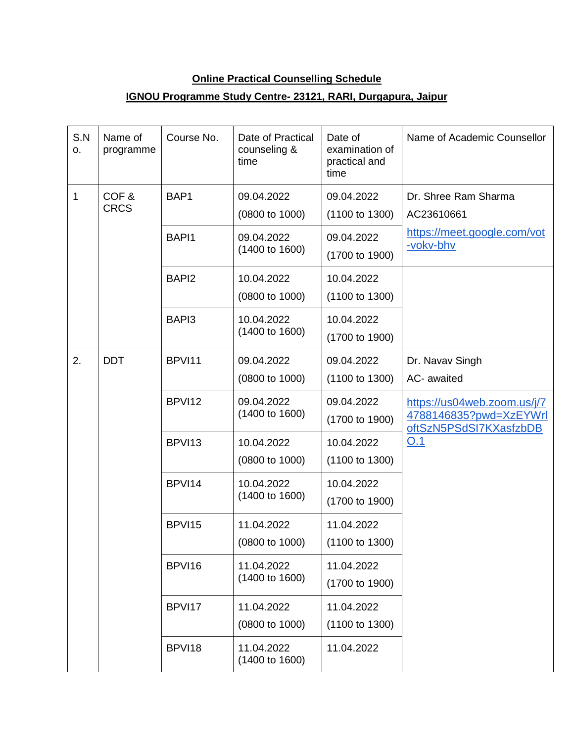## **Online Practical Counselling Schedule**

## **IGNOU Programme Study Centre- 23121, RARI, Durgapura, Jaipur**

| S.N<br>О. | Name of<br>programme | Course No.        | Date of Practical<br>counseling &<br>time | Date of<br>examination of<br>practical and<br>time | Name of Academic Counsellor                                                            |
|-----------|----------------------|-------------------|-------------------------------------------|----------------------------------------------------|----------------------------------------------------------------------------------------|
| 1         | COF&<br><b>CRCS</b>  | BAP1              | 09.04.2022<br>(0800 to 1000)              | 09.04.2022<br>(1100 to 1300)                       | Dr. Shree Ram Sharma<br>AC23610661<br>https://meet.google.com/vot<br>-vokv-bhv         |
|           |                      | BAPI1             | 09.04.2022<br>(1400 to 1600)              | 09.04.2022<br>(1700 to 1900)                       |                                                                                        |
|           |                      | BAPI <sub>2</sub> | 10.04.2022<br>(0800 to 1000)              | 10.04.2022<br>(1100 to 1300)                       |                                                                                        |
|           |                      | BAPI3             | 10.04.2022<br>(1400 to 1600)              | 10.04.2022<br>(1700 to 1900)                       |                                                                                        |
| 2.        | <b>DDT</b>           | BPVI11            | 09.04.2022<br>(0800 to 1000)              | 09.04.2022<br>(1100 to 1300)                       | Dr. Navav Singh<br>AC- awaited                                                         |
|           |                      | BPVI12            | 09.04.2022<br>(1400 to 1600)              | 09.04.2022<br>(1700 to 1900)                       | https://us04web.zoom.us/j/7<br>4788146835?pwd=XzEYWrl<br>oftSzN5PSdSI7KXasfzbDB<br>O.1 |
|           |                      | BPVI13            | 10.04.2022<br>(0800 to 1000)              | 10.04.2022<br>(1100 to 1300)                       |                                                                                        |
|           |                      | BPVI14            | 10.04.2022<br>(1400 to 1600)              | 10.04.2022<br>(1700 to 1900)                       |                                                                                        |
|           |                      | BPVI15            | 11.04.2022<br>(0800 to 1000)              | 11.04.2022<br>(1100 to 1300)                       |                                                                                        |
|           |                      | BPVI16            | 11.04.2022<br>(1400 to 1600)              | 11.04.2022<br>(1700 to 1900)                       |                                                                                        |
|           |                      | BPVI17            | 11.04.2022<br>(0800 to 1000)              | 11.04.2022<br>(1100 to 1300)                       |                                                                                        |
|           |                      | BPVI18            | 11.04.2022<br>(1400 to 1600)              | 11.04.2022                                         |                                                                                        |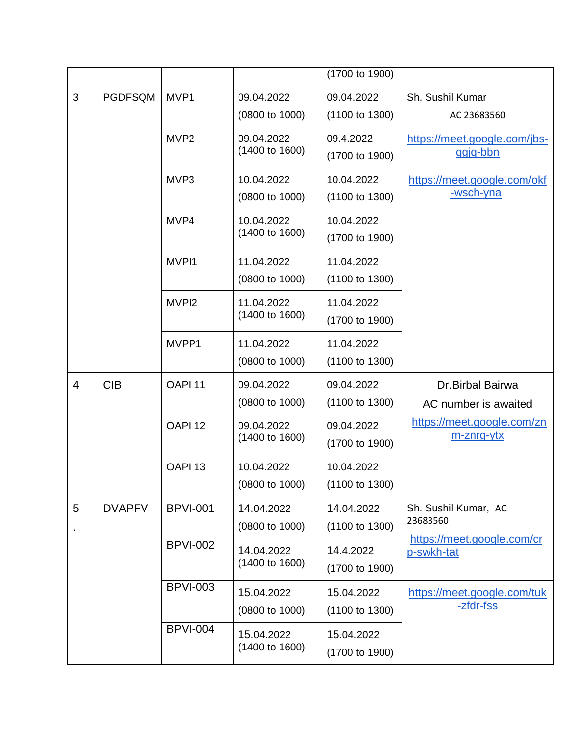|                |                |                    |                              | (1700 to 1900) |                                          |
|----------------|----------------|--------------------|------------------------------|----------------|------------------------------------------|
| 3              | <b>PGDFSQM</b> | MVP1               | 09.04.2022                   | 09.04.2022     | Sh. Sushil Kumar                         |
|                |                |                    | (0800 to 1000)               | (1100 to 1300) | AC 23683560                              |
|                |                | MVP <sub>2</sub>   | 09.04.2022                   | 09.4.2022      | https://meet.google.com/jbs-             |
|                |                |                    | (1400 to 1600)               | (1700 to 1900) | ggig-bbn                                 |
|                |                | MVP3               | 10.04.2022                   | 10.04.2022     | https://meet.google.com/okf              |
|                |                |                    | (0800 to 1000)               | (1100 to 1300) | -wsch-yna                                |
|                |                | MVP4               | 10.04.2022                   | 10.04.2022     |                                          |
|                |                |                    | (1400 to 1600)               | (1700 to 1900) |                                          |
|                |                | MVPI1              | 11.04.2022                   | 11.04.2022     |                                          |
|                |                |                    | (0800 to 1000)               | (1100 to 1300) |                                          |
|                |                | MVPI <sub>2</sub>  | 11.04.2022                   | 11.04.2022     |                                          |
|                |                |                    | (1400 to 1600)               | (1700 to 1900) |                                          |
|                |                | MVPP1              | 11.04.2022                   | 11.04.2022     |                                          |
|                |                |                    | (0800 to 1000)               | (1100 to 1300) |                                          |
| $\overline{4}$ | <b>CIB</b>     | OAPI <sub>11</sub> | 09.04.2022                   | 09.04.2022     | Dr.Birbal Bairwa                         |
|                |                |                    | (0800 to 1000)               | (1100 to 1300) | AC number is awaited                     |
|                |                | OAPI <sub>12</sub> | 09.04.2022                   | 09.04.2022     | https://meet.google.com/zn               |
|                |                |                    | (1400 to 1600)               | (1700 to 1900) | m-znrg-ytx                               |
|                |                | OAPI <sub>13</sub> | 10.04.2022                   | 10.04.2022     |                                          |
|                |                |                    | $(0800 \text{ to } 1000)$    | (1100 to 1300) |                                          |
| 5              | <b>DVAPFV</b>  | <b>BPVI-001</b>    | 14.04.2022                   | 14.04.2022     | Sh. Sushil Kumar, AC                     |
| $\blacksquare$ |                |                    | (0800 to 1000)               | (1100 to 1300) | 23683560                                 |
|                |                | <b>BPVI-002</b>    | 14.04.2022<br>(1400 to 1600) | 14.4.2022      | https://meet.google.com/cr<br>p-swkh-tat |
|                |                |                    |                              | (1700 to 1900) |                                          |
|                |                | <b>BPVI-003</b>    | 15.04.2022                   | 15.04.2022     | https://meet.google.com/tuk              |
|                |                |                    | (0800 to 1000)               | (1100 to 1300) | <u>-zfdr-fss</u>                         |
|                |                | <b>BPVI-004</b>    | 15.04.2022<br>(1400 to 1600) | 15.04.2022     |                                          |
|                |                |                    |                              | (1700 to 1900) |                                          |